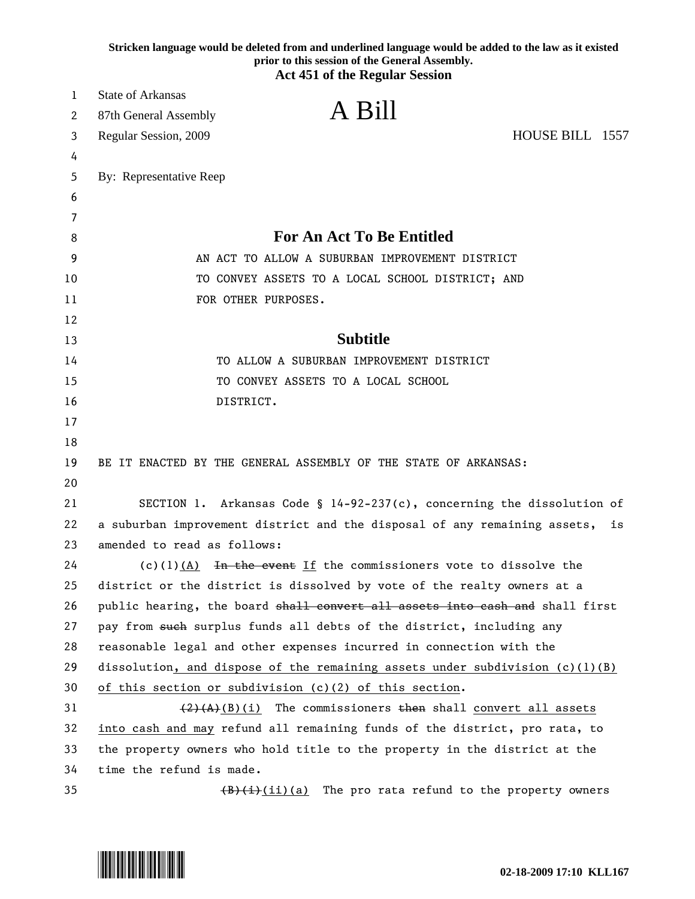|    | Stricken language would be deleted from and underlined language would be added to the law as it existed<br>prior to this session of the General Assembly.<br><b>Act 451 of the Regular Session</b> |
|----|----------------------------------------------------------------------------------------------------------------------------------------------------------------------------------------------------|
| 1  | <b>State of Arkansas</b>                                                                                                                                                                           |
| 2  | A Bill<br>87th General Assembly                                                                                                                                                                    |
| 3  | HOUSE BILL 1557<br>Regular Session, 2009                                                                                                                                                           |
| 4  |                                                                                                                                                                                                    |
| 5  | By: Representative Reep                                                                                                                                                                            |
| 6  |                                                                                                                                                                                                    |
| 7  |                                                                                                                                                                                                    |
| 8  | <b>For An Act To Be Entitled</b>                                                                                                                                                                   |
| 9  | AN ACT TO ALLOW A SUBURBAN IMPROVEMENT DISTRICT                                                                                                                                                    |
| 10 | TO CONVEY ASSETS TO A LOCAL SCHOOL DISTRICT; AND                                                                                                                                                   |
| 11 | FOR OTHER PURPOSES.                                                                                                                                                                                |
| 12 |                                                                                                                                                                                                    |
| 13 | <b>Subtitle</b>                                                                                                                                                                                    |
| 14 | TO ALLOW A SUBURBAN IMPROVEMENT DISTRICT                                                                                                                                                           |
| 15 | TO CONVEY ASSETS TO A LOCAL SCHOOL                                                                                                                                                                 |
| 16 | DISTRICT.                                                                                                                                                                                          |
| 17 |                                                                                                                                                                                                    |
| 18 |                                                                                                                                                                                                    |
| 19 | BE IT ENACTED BY THE GENERAL ASSEMBLY OF THE STATE OF ARKANSAS:                                                                                                                                    |
| 20 |                                                                                                                                                                                                    |
| 21 | SECTION 1. Arkansas Code § 14-92-237(c), concerning the dissolution of                                                                                                                             |
| 22 | a suburban improvement district and the disposal of any remaining assets,<br>is                                                                                                                    |
| 23 | amended to read as follows:                                                                                                                                                                        |
| 24 | $(c)(1)(A)$ In the event If the commissioners vote to dissolve the                                                                                                                                 |
| 25 | district or the district is dissolved by vote of the realty owners at a                                                                                                                            |
| 26 | public hearing, the board shall convert all assets into eash and shall first                                                                                                                       |
| 27 | pay from such surplus funds all debts of the district, including any                                                                                                                               |
| 28 | reasonable legal and other expenses incurred in connection with the                                                                                                                                |
| 29 | dissolution, and dispose of the remaining assets under subdivision $(c)(1)(B)$                                                                                                                     |
| 30 | of this section or subdivision (c)(2) of this section.                                                                                                                                             |
| 31 | $(2)$ (A)(B)(i) The commissioners then shall convert all assets                                                                                                                                    |
| 32 | into cash and may refund all remaining funds of the district, pro rata, to                                                                                                                         |
| 33 | the property owners who hold title to the property in the district at the                                                                                                                          |
| 34 | time the refund is made.                                                                                                                                                                           |
| 35 | $(B)(i)(ii)(a)$ The pro rata refund to the property owners                                                                                                                                         |